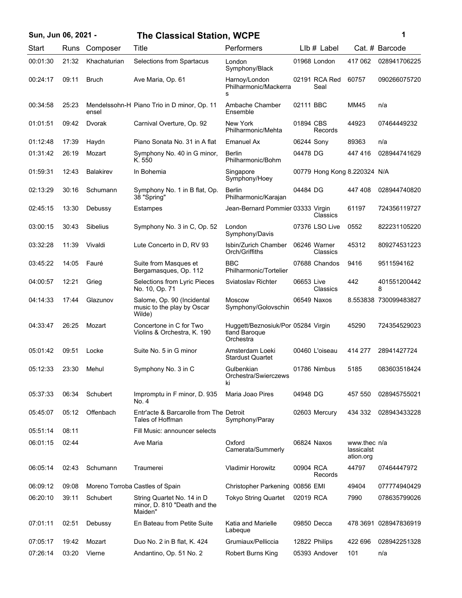| Sun, Jun 06, 2021 - |       |                  | <b>The Classical Station, WCPE</b>                                    |                                                                  |            |                              |                                         | 1                     |
|---------------------|-------|------------------|-----------------------------------------------------------------------|------------------------------------------------------------------|------------|------------------------------|-----------------------------------------|-----------------------|
| Start               | Runs  | Composer         | Title                                                                 | Performers                                                       |            | $Llb#$ Label                 |                                         | Cat. # Barcode        |
| 00:01:30            | 21:32 | Khachaturian     | Selections from Spartacus                                             | London<br>Symphony/Black                                         |            | 01968 London                 | 417 062                                 | 028941706225          |
| 00:24:17            | 09:11 | <b>Bruch</b>     | Ave Maria, Op. 61                                                     | Harnoy/London<br>Philharmonic/Mackerra<br>s                      |            | 02191 RCA Red<br>Seal        | 60757                                   | 090266075720          |
| 00:34:58            | 25:23 | ensel            | Mendelssohn-H Piano Trio in D minor, Op. 11                           | Ambache Chamber<br>Ensemble                                      | 02111 BBC  |                              | MM45                                    | n/a                   |
| 01:01:51            | 09:42 | Dvorak           | Carnival Overture, Op. 92                                             | New York<br>Philharmonic/Mehta                                   | 01894 CBS  | Records                      | 44923                                   | 07464449232           |
| 01:12:48            | 17:39 | Haydn            | Piano Sonata No. 31 in A flat                                         | <b>Emanuel Ax</b>                                                | 06244 Sony |                              | 89363                                   | n/a                   |
| 01:31:42            | 26:19 | Mozart           | Symphony No. 40 in G minor,<br>K. 550                                 | <b>Berlin</b><br>Philharmonic/Bohm                               | 04478 DG   |                              | 447416                                  | 028944741629          |
| 01:59:31            | 12:43 | <b>Balakirev</b> | In Bohemia                                                            | Singapore<br>Symphony/Hoey                                       |            | 00779 Hong Kong 8.220324 N/A |                                         |                       |
| 02:13:29            | 30:16 | Schumann         | Symphony No. 1 in B flat, Op.<br>38 "Spring"                          | Berlin<br>Philharmonic/Karajan                                   | 04484 DG   |                              | 447408                                  | 028944740820          |
| 02:45:15            | 13:30 | Debussy          | Estampes                                                              | Jean-Bernard Pommier 03333 Virgin                                |            | Classics                     | 61197                                   | 724356119727          |
| 03:00:15            | 30:43 | <b>Sibelius</b>  | Symphony No. 3 in C, Op. 52                                           | London<br>Symphony/Davis                                         |            | 07376 LSO Live               | 0552                                    | 822231105220          |
| 03:32:28            | 11:39 | Vivaldi          | Lute Concerto in D, RV 93                                             | Isbin/Zurich Chamber<br>Orch/Griffiths                           |            | 06246 Warner<br>Classics     | 45312                                   | 809274531223          |
| 03:45:22            | 14:05 | Fauré            | Suite from Masques et<br>Bergamasques, Op. 112                        | <b>BBC</b><br>Philharmonic/Tortelier                             |            | 07688 Chandos                | 9416                                    | 9511594162            |
| 04:00:57            | 12:21 | Grieg            | Selections from Lyric Pieces<br>No. 10, Op. 71                        | Sviatoslav Richter                                               | 06653 Live | Classics                     | 442                                     | 401551200442<br>8     |
| 04:14:33            | 17:44 | Glazunov         | Salome, Op. 90 (Incidental<br>music to the play by Oscar<br>Wilde)    | <b>Moscow</b><br>Symphony/Golovschin                             |            | 06549 Naxos                  |                                         | 8.553838 730099483827 |
| 04:33:47            | 26:25 | Mozart           | Concertone in C for Two<br>Violins & Orchestra, K. 190                | Huggett/Beznosiuk/Por 05284 Virgin<br>tland Baroque<br>Orchestra |            |                              | 45290                                   | 724354529023          |
| 05:01:42            | 09:51 | Locke            | Suite No. 5 in G minor                                                | Amsterdam Loeki<br><b>Stardust Quartet</b>                       |            | 00460 L'oiseau               | 414 277                                 | 28941427724           |
| 05:12:33            | 23:30 | Mehul            | Symphony No. 3 in C                                                   | Gulbenkian<br>Orchestra/Swierczews<br>ki                         |            | 01786 Nimbus                 | 5185                                    | 083603518424          |
| 05:37:33            | 06:34 | Schubert         | Impromptu in F minor, D. 935<br>No. 4                                 | Maria Joao Pires                                                 | 04948 DG   |                              | 457 550                                 | 028945755021          |
| 05:45:07            | 05:12 | Offenbach        | Entr'acte & Barcarolle from The Detroit<br>Tales of Hoffman           | Symphony/Paray                                                   |            | 02603 Mercury                | 434 332                                 | 028943433228          |
| 05:51:14            | 08:11 |                  | Fill Music: announcer selects                                         |                                                                  |            |                              |                                         |                       |
| 06:01:15            | 02:44 |                  | Ave Maria                                                             | Oxford<br>Camerata/Summerly                                      |            | 06824 Naxos                  | www.thec n/a<br>lassicalst<br>ation.org |                       |
| 06:05:14            | 02:43 | Schumann         | Traumerei                                                             | <b>Vladimir Horowitz</b>                                         | 00904 RCA  | Records                      | 44797                                   | 07464447972           |
| 06:09:12            | 09:08 |                  | Moreno Torroba Castles of Spain                                       | <b>Christopher Parkening</b>                                     | 00856 EMI  |                              | 49404                                   | 077774940429          |
| 06:20:10            | 39:11 | Schubert         | String Quartet No. 14 in D<br>minor, D. 810 "Death and the<br>Maiden" | <b>Tokyo String Quartet</b>                                      | 02019 RCA  |                              | 7990                                    | 078635799026          |
| 07:01:11            | 02:51 | Debussy          | En Bateau from Petite Suite                                           | Katia and Marielle<br>Labeque                                    |            | 09850 Decca                  |                                         | 478 3691 028947836919 |
| 07:05:17            | 19:42 | Mozart           | Duo No. 2 in B flat, K. 424                                           | Grumiaux/Pelliccia                                               |            | 12822 Philips                | 422 696                                 | 028942251328          |
| 07:26:14            | 03:20 | Vierne           | Andantino, Op. 51 No. 2                                               | <b>Robert Burns King</b>                                         |            | 05393 Andover                | 101                                     | n/a                   |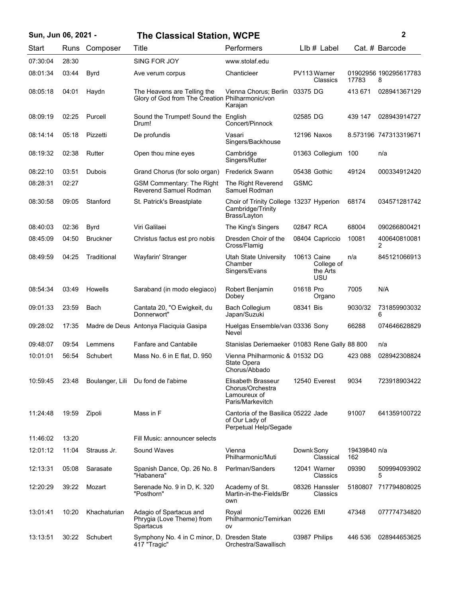|  |  |  | Sun, Jun 06, 2021 - |  |
|--|--|--|---------------------|--|
|--|--|--|---------------------|--|

## **Sun, Jun 06, 2021 - 2 The Classical Station, WCPE**

| Start    | Runs  | Composer        | Title                                                                          | Performers                                                                     | LIb # Label                                  |                     | Cat. # Barcode             |
|----------|-------|-----------------|--------------------------------------------------------------------------------|--------------------------------------------------------------------------------|----------------------------------------------|---------------------|----------------------------|
| 07:30:04 | 28:30 |                 | SING FOR JOY                                                                   | www.stolaf.edu                                                                 |                                              |                     |                            |
| 08:01:34 | 03:44 | <b>Byrd</b>     | Ave verum corpus                                                               | Chanticleer                                                                    | PV113 Warner<br>Classics                     | 17783               | 01902956 190295617783<br>8 |
| 08:05:18 | 04:01 | Haydn           | The Heavens are Telling the<br>Glory of God from The Creation Philharmonic/von | Vienna Chorus; Berlin<br>Karajan                                               | 03375 DG                                     | 413 671             | 028941367129               |
| 08:09:19 | 02:25 | Purcell         | Sound the Trumpet! Sound the<br>Drum!                                          | English<br>Concert/Pinnock                                                     | 02585 DG                                     | 439 147             | 028943914727               |
| 08:14:14 | 05:18 | Pizzetti        | De profundis                                                                   | Vasari<br>Singers/Backhouse                                                    | 12196 Naxos                                  |                     | 8.573196 747313319671      |
| 08:19:32 | 02:38 | Rutter          | Open thou mine eyes                                                            | Cambridge<br>Singers/Rutter                                                    | 01363 Collegium                              | 100                 | n/a                        |
| 08:22:10 | 03:51 | <b>Dubois</b>   | Grand Chorus (for solo organ)                                                  | <b>Frederick Swann</b>                                                         | 05438 Gothic                                 | 49124               | 000334912420               |
| 08:28:31 | 02:27 |                 | <b>GSM Commentary: The Right</b><br>Reverend Samuel Rodman                     | The Right Reverend<br>Samuel Rodman                                            | <b>GSMC</b>                                  |                     |                            |
| 08:30:58 | 09:05 | Stanford        | St. Patrick's Breastplate                                                      | Choir of Trinity College 13237 Hyperion<br>Cambridge/Trinity<br>Brass/Layton   |                                              | 68174               | 034571281742               |
| 08:40:03 | 02:36 | <b>Byrd</b>     | Viri Galilaei                                                                  | The King's Singers                                                             | 02847 RCA                                    | 68004               | 090266800421               |
| 08:45:09 | 04:50 | <b>Bruckner</b> | Christus factus est pro nobis                                                  | Dresden Choir of the<br>Cross/Flamig                                           | 08404 Capriccio                              | 10081               | 400640810081<br>2          |
| 08:49:59 | 04:25 | Traditional     | Wayfarin' Stranger                                                             | <b>Utah State University</b><br>Chamber<br>Singers/Evans                       | 10613 Caine<br>College of<br>the Arts<br>USU | n/a                 | 845121066913               |
| 08:54:34 | 03:49 | Howells         | Saraband (in modo elegiaco)                                                    | Robert Benjamin<br>Dobey                                                       | 01618 Pro<br>Organo                          | 7005                | N/A                        |
| 09:01:33 | 23:59 | Bach            | Cantata 20, "O Ewigkeit, du<br>Donnerwort"                                     | <b>Bach Collegium</b><br>Japan/Suzuki                                          | 08341 Bis                                    | 9030/32             | 731859903032<br>6          |
| 09:28:02 | 17:35 |                 | Madre de Deus Antonya Flaciquia Gasipa                                         | Huelgas Ensemble/van 03336 Sony<br>Nevel                                       |                                              | 66288               | 074646628829               |
| 09:48:07 | 09:54 | Lemmens         | <b>Fanfare and Cantabile</b>                                                   | Stanislas Deriemaeker 01083 Rene Gally 88 800                                  |                                              |                     | n/a                        |
| 10:01:01 | 56:54 | Schubert        | Mass No. 6 in E flat, D. 950                                                   | Vienna Philharmonic & 01532 DG<br>State Opera<br>Chorus/Abbado                 |                                              | 423 088             | 028942308824               |
| 10:59:45 | 23:48 |                 | Boulanger, Lili Du fond de l'abime                                             | Elisabeth Brasseur<br>Chorus/Orchestra<br>Lamoureux of<br>Paris/Markevitch     | 12540 Everest                                | 9034                | 723918903422               |
| 11:24:48 | 19:59 | Zipoli          | Mass in F                                                                      | Cantoria of the Basilica 05222 Jade<br>of Our Lady of<br>Perpetual Help/Segade |                                              | 91007               | 641359100722               |
| 11:46:02 | 13:20 |                 | Fill Music: announcer selects                                                  |                                                                                |                                              |                     |                            |
| 12:01:12 | 11:04 | Strauss Jr.     | Sound Waves                                                                    | Vienna<br>Philharmonic/Muti                                                    | Downk Sony<br>Classical                      | 19439840 n/a<br>162 |                            |
| 12:13:31 | 05:08 | Sarasate        | Spanish Dance, Op. 26 No. 8<br>"Habanera"                                      | Perlman/Sanders                                                                | 12041 Warner<br>Classics                     | 09390               | 509994093902<br>5          |
| 12:20:29 | 39:22 | Mozart          | Serenade No. 9 in D, K. 320<br>"Posthorn"                                      | Academy of St.<br>Martin-in-the-Fields/Br<br>own                               | 08326 Hanssler<br>Classics                   | 5180807             | 717794808025               |
| 13:01:41 | 10:20 | Khachaturian    | Adagio of Spartacus and<br>Phrygia (Love Theme) from<br>Spartacus              | Royal<br>Philharmonic/Temirkan<br>ov                                           | 00226 EMI                                    | 47348               | 077774734820               |
| 13:13:51 | 30:22 | Schubert        | Symphony No. 4 in C minor, D. Dresden State<br>417 "Tragic"                    | Orchestra/Sawallisch                                                           | 03987 Philips                                | 446 536             | 028944653625               |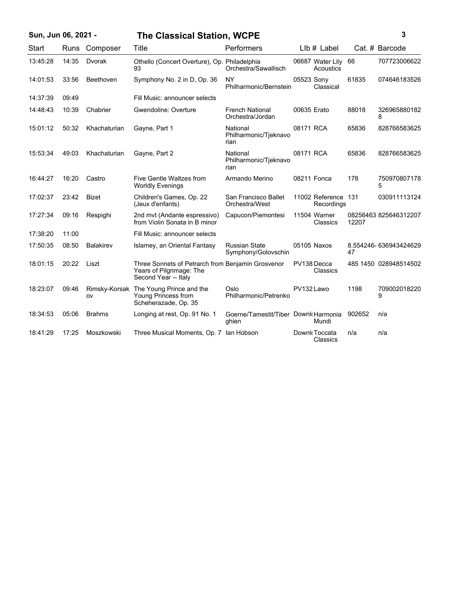| Sun, Jun 06, 2021 - |       |                  | <b>The Classical Station, WCPE</b>                                                                    |                                               |             |                                   |        | 3                     |
|---------------------|-------|------------------|-------------------------------------------------------------------------------------------------------|-----------------------------------------------|-------------|-----------------------------------|--------|-----------------------|
| Start               | Runs  | Composer         | <b>Title</b>                                                                                          | Performers                                    |             | LIb # Label                       |        | Cat. # Barcode        |
| 13:45:28            | 14:35 | Dvorak           | Othello (Concert Overture), Op. Philadelphia<br>93                                                    | Orchestra/Sawallisch                          |             | 06687 Water Lily<br>Acoustics     | 66     | 707723006622          |
| 14:01:53            | 33:56 | Beethoven        | Symphony No. 2 in D, Op. 36                                                                           | NY<br>Philharmonic/Bernstein                  | 05523 Sony  | Classical                         | 61835  | 074646183526          |
| 14:37:39            | 09:49 |                  | Fill Music: announcer selects                                                                         |                                               |             |                                   |        |                       |
| 14:48:43            | 10:39 | Chabrier         | Gwendoline: Overture                                                                                  | <b>French National</b><br>Orchestra/Jordan    | 00635 Erato |                                   | 88018  | 326965880182<br>8     |
| 15:01:12            | 50:32 | Khachaturian     | Gayne, Part 1                                                                                         | National<br>Philharmonic/Tjeknavo<br>rian     | 08171 RCA   |                                   | 65836  | 828766583625          |
| 15:53:34            | 49:03 | Khachaturian     | Gayne, Part 2                                                                                         | National<br>Philharmonic/Tjeknavo<br>rian     | 08171 RCA   |                                   | 65836  | 828766583625          |
| 16:44:27            | 16:20 | Castro           | Five Gentle Waltzes from<br><b>Worldly Evenings</b>                                                   | Armando Merino                                |             | 08211 Fonca                       | 178    | 750970807178<br>5     |
| 17:02:37            | 23:42 | <b>Bizet</b>     | Children's Games, Op. 22<br>(Jeux d'enfants)                                                          | San Francisco Ballet<br>Orchestra/West        |             | 11002 Reference 131<br>Recordings |        | 030911113124          |
| 17:27:34            | 09:16 | Respighi         | 2nd mvt (Andante espressivo)<br>from Violin Sonata in B minor                                         | Capucon/Piemontesi                            |             | 11504 Warner<br>Classics          | 12207  | 08256463 825646312207 |
| 17:38:20            | 11:00 |                  | Fill Music: announcer selects                                                                         |                                               |             |                                   |        |                       |
| 17:50:35            | 08:50 | <b>Balakirev</b> | Islamey, an Oriental Fantasy                                                                          | <b>Russian State</b><br>Symphony/Golovschin   |             | 05105 Naxos                       | 47     | 8.554246-636943424629 |
| 18:01:15            | 20:22 | Liszt            | Three Sonnets of Petrarch from Benjamin Grosvenor<br>Years of Pilgrimage: The<br>Second Year -- Italy |                                               |             | PV138 Decca<br>Classics           |        | 485 1450 028948514502 |
| 18:23:07            | 09:46 | ov               | Rimsky-Korsak The Young Prince and the<br>Young Princess from<br>Scheherazade, Op. 35                 | Oslo<br>Philharmonic/Petrenko                 | PV132 Lawo  |                                   | 1198   | 709002018220<br>9     |
| 18:34:53            | 05:06 | <b>Brahms</b>    | Longing at rest, Op. 91 No. 1                                                                         | Goerne/Tamestit/Tiber Downk Harmonia<br>ghien |             | Mundi                             | 902652 | n/a                   |
| 18:41:29            | 17:25 | Moszkowski       | Three Musical Moments, Op. 7                                                                          | lan Hobson                                    |             | Downk Toccata<br>Classics         | n/a    | n/a                   |